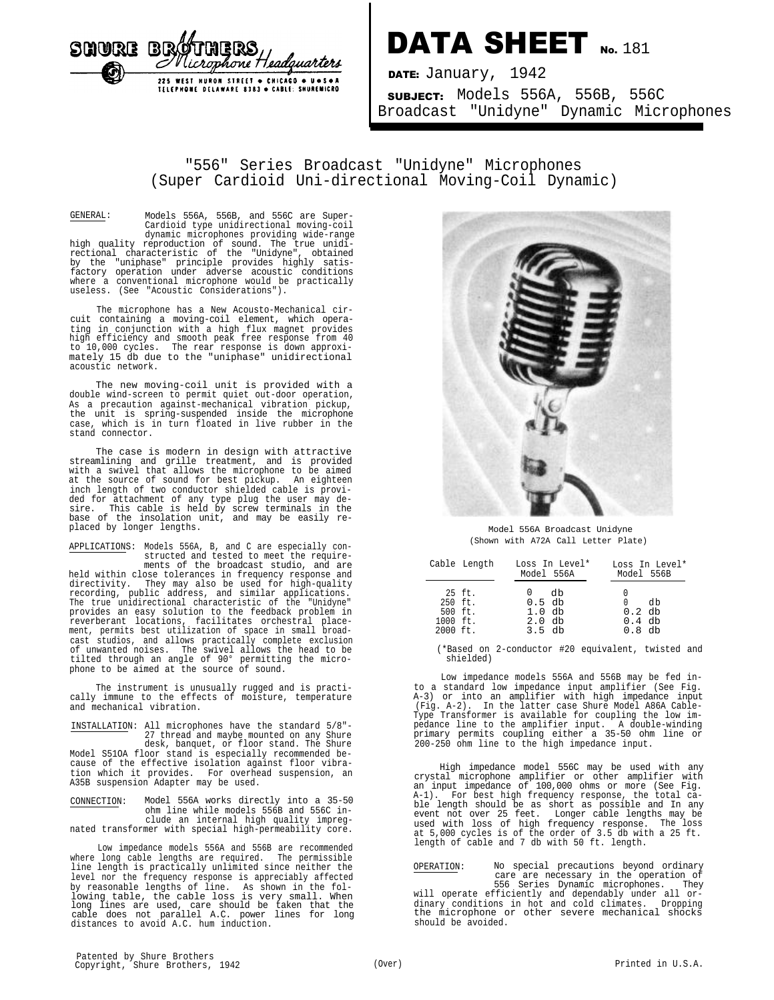

## DATA SHEET No. 181

DATE: January, 1942 SUBJECT: Models 556A, 556B, 556C Broadcast "Unidyne" Dynamic Microphones

## "556" Series Broadcast "Unidyne" Microphones (Super Cardioid Uni-directional Moving-Coil Dynamic)

GENERAL: Models 556A, 556B, and 556C are Super-Cardioid type unidirectional moving-coil dynamic microphones providing wide-range<br>high quality reproduction of sound. The true unidi-<br>rectional characteristic of the "Unidyne", obtained<br>by the "uniphase" principle provides highly satis-<br>factory operation under ad

The microphone has a New Acousto-Mechanical cir-cuit containing a moving-coil element, which operating in conjunction with a high flux magnet provides high efficiency and smooth peak free response from 40 to 10,000 cycles. The rear response is down approxi-mately 15 db due to the "uniphase" unidirectional acoustic network.

The new moving-coil unit is provided with a double wind-screen to permit quiet out-door operation, As a precaution against-mechanical vibration pickup, the unit is spring-suspended inside the microphone case, which is in turn floated in live rubber in the stand connector.

The case is modern in design with attractive streamlining and grille treatment, and is provided with a swivel that allows the microphone to be aimed at the source of sound for best pickup. An eighteen inch length of two conductor shielded cable is provided for attachment of any type plug the user may de-sire. This cable is held by screw terminals in the base of the insolation unit, and may be easily replaced by longer lengths.

APPLICATIONS: Models 556A, B, and C are especially constructed and tested to meet the require-

ments of the broadcast studio, and are held within close tolerances in frequency response and directivity. They may also be used for high-quality recording, public address, and similar applications. The true unidirectional characteristic of the "Unidyne" provides an easy solution to the feedback problem in reverberant locations, facilitates orchestral place-ment, permits best utilization of space in small broadcast studios, and allows practically complete exclusion of unwanted noises. The swivel allows the head to be tilted through an angle of 90° permitting the micro-phone to be aimed at the source of sound.

The instrument is unusually rugged and is practi-cally immune to the effects of moisture, temperature and mechanical vibration.

INSTALLATION: All microphones have the standard 5/8"- 27 thread and maybe mounted on any Shure desk, banquet, or floor stand. The Shure Model S51OA floor stand is especially recommended be-cause of the effective isolation against floor vibration which it provides. For overhead suspension, an A35B suspension Adapter may be used.

CONNECTION: Model 556A works directly into a 35-50 ohm line while models 556B and 556C include an internal high quality impregnated transformer with special high-permeability core.

Low impedance models 556A and 556B are recommended where long cable lengths are required. The permissible line length is practically unlimited since neither the level nor the frequency response is appreciably affected by reasonable lengths of line. As shown in the fol-<br>lowing table, the cable loss is very small. When<br>long lines are used, care should be taken that the<br>cable does not parallel A.C. power lines for long<br>distances to avoid A



Model 556A Broadcast Unidyne (Shown with A72A Call Letter Plate)

|                                                                    | Cable Length |                                              | Loss In Level*<br>Model 556A | Loss In Level*<br>Model 556B           |  |
|--------------------------------------------------------------------|--------------|----------------------------------------------|------------------------------|----------------------------------------|--|
| $250$ ft.<br>$500$ ft.<br>$1000 \text{ ft.}$<br>$2000 \text{ ft.}$ | 25 ft.       | $0.5$ db<br>$1.0$ db<br>$2.0$ db<br>$3.5$ db | db                           | dh<br>$0.2$ db<br>$0.4$ db<br>$0.8$ db |  |

(\*Based on 2-conductor #20 equivalent, twisted and shielded)

Low impedance models 556A and 556B may be fed into a standard low impedance input amplifier (See Fig. A-3) or into an amplifier with high impedance input (Fig. A-2). In the latter case Shure Model A86A Cable-Type Transformer is available for coupling the low impedance line to the amplifier input. A double-winding primary permits coupling either a 35-50 ohm line or 200-250 ohm line to the high impedance input.

High impedance model 556C may be used with any crystal microphone amplifier or other amplifier with an input impedance of 100,000 ohms or more (See Fig. A-1). For best high frequency response, the total cable length should be as short as possible and In any event not over 25 feet. Longer cable lengths may bused with loss of high frequency response. The loss at 5,000 cycles

OPERATION: No special precautions beyond ordinary care are necessary in the operation of 556 Series Dynamic microphones. They will operate efficiently and dependably under all or-dinary conditions in hot and cold climates. Dropping dinary conditions in hot and cold climates. Dropping<br>the microphone or other severe mechanical shocks should be avoided.